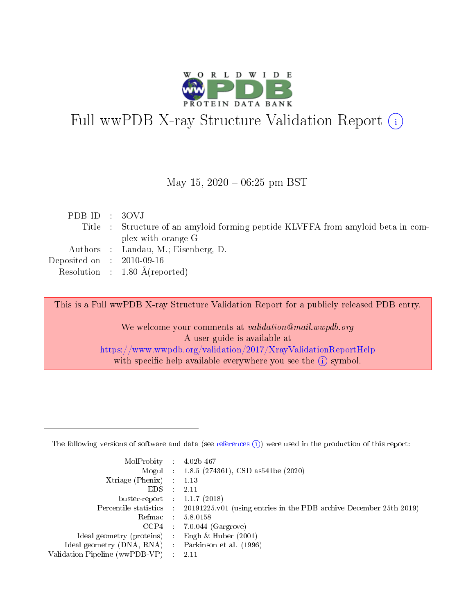

# Full wwPDB X-ray Structure Validation Report (i)

#### May 15,  $2020 - 06:25$  pm BST

| PDB ID : 30VJ               |                                                                                  |
|-----------------------------|----------------------------------------------------------------------------------|
|                             | Title : Structure of an amyloid forming peptide KLVFFA from amyloid beta in com- |
|                             | plex with orange G                                                               |
|                             | Authors : Landau, M.; Eisenberg, D.                                              |
| Deposited on : $2010-09-16$ |                                                                                  |
|                             | Resolution : $1.80 \text{ Å}$ (reported)                                         |
|                             |                                                                                  |

This is a Full wwPDB X-ray Structure Validation Report for a publicly released PDB entry.

We welcome your comments at validation@mail.wwpdb.org A user guide is available at <https://www.wwpdb.org/validation/2017/XrayValidationReportHelp> with specific help available everywhere you see the  $(i)$  symbol.

The following versions of software and data (see [references](https://www.wwpdb.org/validation/2017/XrayValidationReportHelp#references)  $(1)$ ) were used in the production of this report:

| MolProbity                     | $\mathcal{L}_{\rm{max}}$ | $4.02b - 467$                                                                |
|--------------------------------|--------------------------|------------------------------------------------------------------------------|
|                                |                          | Mogul : $1.8.5$ (274361), CSD as 541be (2020)                                |
| $X$ triage (Phenix) :          |                          | 1.13                                                                         |
| EDS.                           |                          | 2.11                                                                         |
| buster-report : $1.1.7$ (2018) |                          |                                                                              |
| Percentile statistics :        |                          | $20191225 \text{ v}01$ (using entries in the PDB archive December 25th 2019) |
| Refmac                         |                          | 5.8.0158                                                                     |
| $CCP4$ :                       |                          | $7.0.044$ (Gargrove)                                                         |
| Ideal geometry (proteins) :    |                          | Engh $\&$ Huber (2001)                                                       |
| Ideal geometry (DNA, RNA) :    |                          | Parkinson et al. (1996)                                                      |
| Validation Pipeline (wwPDB-VP) | $\mathcal{L}$            | -2.11                                                                        |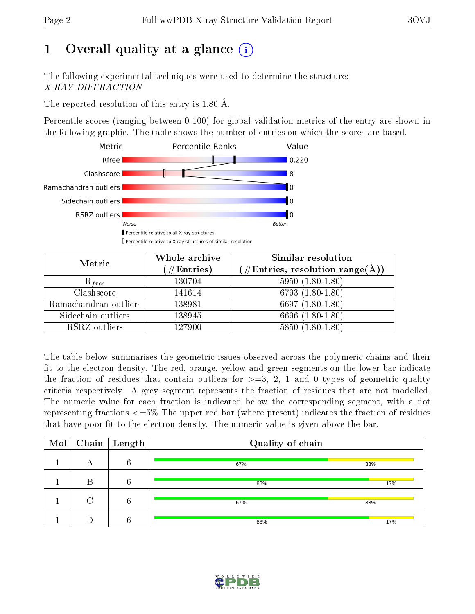# 1 [O](https://www.wwpdb.org/validation/2017/XrayValidationReportHelp#overall_quality)verall quality at a glance  $(i)$

The following experimental techniques were used to determine the structure: X-RAY DIFFRACTION

The reported resolution of this entry is 1.80 Å.

Percentile scores (ranging between 0-100) for global validation metrics of the entry are shown in the following graphic. The table shows the number of entries on which the scores are based.



| Metric                | Whole archive<br>$(\#\text{Entries})$ | Similar resolution<br>$(\# \text{Entries}, \text{resolution range}(\text{\AA}))$ |
|-----------------------|---------------------------------------|----------------------------------------------------------------------------------|
| $R_{free}$            | 130704                                | $5950(1.80-1.80)$                                                                |
| Clashscore            | 141614                                | 6793 $(1.80-1.80)$                                                               |
| Ramachandran outliers | 138981                                | 6697 $(1.80-1.80)$                                                               |
| Sidechain outliers    | 138945                                | 6696 (1.80-1.80)                                                                 |
| RSRZ outliers         | 127900                                | $5850(1.80-1.80)$                                                                |

The table below summarises the geometric issues observed across the polymeric chains and their fit to the electron density. The red, orange, yellow and green segments on the lower bar indicate the fraction of residues that contain outliers for  $>=3, 2, 1$  and 0 types of geometric quality criteria respectively. A grey segment represents the fraction of residues that are not modelled. The numeric value for each fraction is indicated below the corresponding segment, with a dot representing fractions  $\epsilon=5\%$  The upper red bar (where present) indicates the fraction of residues that have poor fit to the electron density. The numeric value is given above the bar.

| Mol |   | $\boxed{\text{Chain}}$ Length | Quality of chain |     |  |  |  |
|-----|---|-------------------------------|------------------|-----|--|--|--|
|     |   | 6                             | 67%              | 33% |  |  |  |
|     | D | 6                             | 83%              | 17% |  |  |  |
|     |   | 6                             | 67%              | 33% |  |  |  |
|     |   | $\kappa$                      | 83%              | 17% |  |  |  |

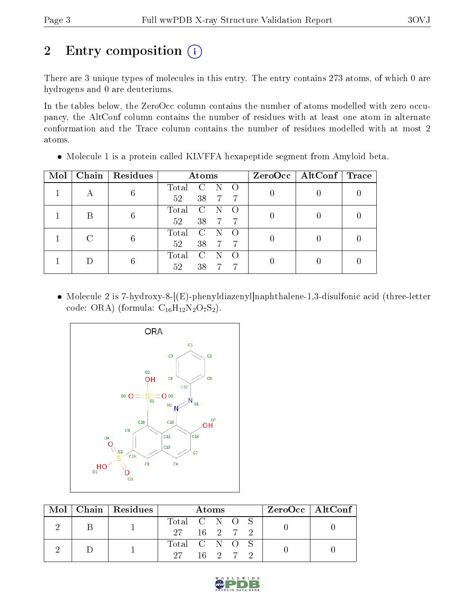# 2 Entry composition (i)

There are 3 unique types of molecules in this entry. The entry contains 273 atoms, of which 0 are hydrogens and 0 are deuteriums.

In the tables below, the ZeroOcc column contains the number of atoms modelled with zero occupancy, the AltConf column contains the number of residues with at least one atom in alternate conformation and the Trace column contains the number of residues modelled with at most 2 atoms.

| Mol |   | Chain   Residues | Atoms |                |                |   | $ZeroOcc \mid AltConf \mid Trace$ |  |
|-----|---|------------------|-------|----------------|----------------|---|-----------------------------------|--|
|     | А | 6                | Total | C              |                |   |                                   |  |
|     |   |                  | 52    | 38             | $-7$           | 7 |                                   |  |
|     | В | 6                | Total | $\overline{C}$ |                |   |                                   |  |
|     |   |                  | 52    | 38             | $\overline{7}$ | 7 |                                   |  |
|     |   | 6                | Total | <sup>-</sup> C |                |   |                                   |  |
|     |   | 52               | 38    | -7             |                |   |                                   |  |
|     |   |                  | Total | C              |                |   |                                   |  |
|     |   |                  | 52    | 38             |                |   |                                   |  |

Molecule 1 is a protein called KLVFFA hexapeptide segment from Amyloid beta.

 Molecule 2 is 7-hydroxy-8-[(E)-phenyldiazenyl]naphthalene-1,3-disulfonic acid (three-letter code: ORA) (formula:  $C_{16}H_{12}N_2O_7S_2$ ).



|  |  | $Mol$   Chain   Residues | Atoms         |  |  |  |  | $\text{ZeroOcc} \mid \text{AltConf} \mid$ |  |
|--|--|--------------------------|---------------|--|--|--|--|-------------------------------------------|--|
|  |  |                          | Total C N O S |  |  |  |  |                                           |  |
|  |  | 27 16 2 7 2              |               |  |  |  |  |                                           |  |
|  |  |                          | Total C N O S |  |  |  |  |                                           |  |
|  |  | 27 16 2 7 2              |               |  |  |  |  |                                           |  |

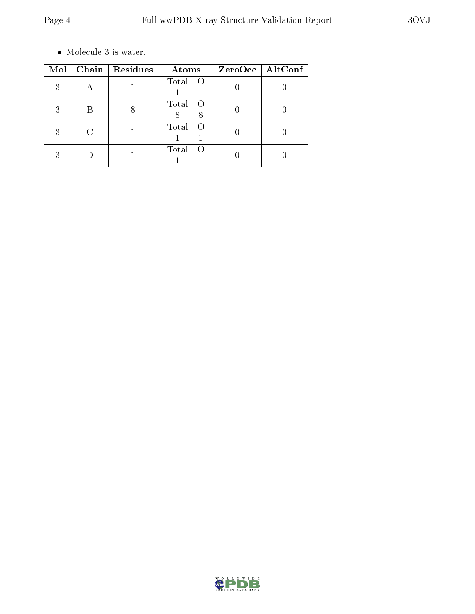$\bullet\,$  Molecule 3 is water.

| Mol | Chain   Residues | Atoms                                 | ZeroOcc   AltConf |
|-----|------------------|---------------------------------------|-------------------|
| 3   |                  | Total O                               |                   |
| 3   |                  | Total<br>$\qquad \qquad \bullet$<br>8 |                   |
| 3   |                  | Total                                 |                   |
|     |                  | Total<br>- ()                         |                   |

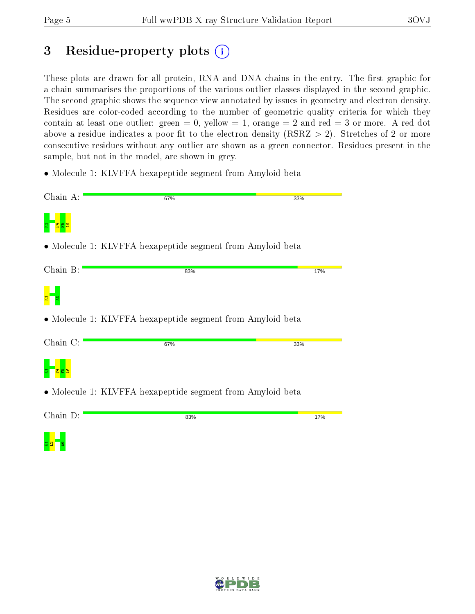<mark>¤ a</mark> La

# 3 Residue-property plots  $(i)$

These plots are drawn for all protein, RNA and DNA chains in the entry. The first graphic for a chain summarises the proportions of the various outlier classes displayed in the second graphic. The second graphic shows the sequence view annotated by issues in geometry and electron density. Residues are color-coded according to the number of geometric quality criteria for which they contain at least one outlier: green  $= 0$ , yellow  $= 1$ , orange  $= 2$  and red  $= 3$  or more. A red dot above a residue indicates a poor fit to the electron density (RSRZ  $> 2$ ). Stretches of 2 or more consecutive residues without any outlier are shown as a green connector. Residues present in the sample, but not in the model, are shown in grey.

• Molecule 1: KLVFFA hexapeptide segment from Amyloid beta

| Chain A: | 67%                                                        | 33% |
|----------|------------------------------------------------------------|-----|
|          |                                                            |     |
|          | • Molecule 1: KLVFFA hexapeptide segment from Amyloid beta |     |
| Chain B: | 83%                                                        | 17% |
|          |                                                            |     |
|          | • Molecule 1: KLVFFA hexapeptide segment from Amyloid beta |     |
| Chain C: | 67%                                                        | 33% |
|          |                                                            |     |
|          | • Molecule 1: KLVFFA hexapeptide segment from Amyloid beta |     |
| Chain D: | 83%                                                        | 17% |
|          |                                                            |     |

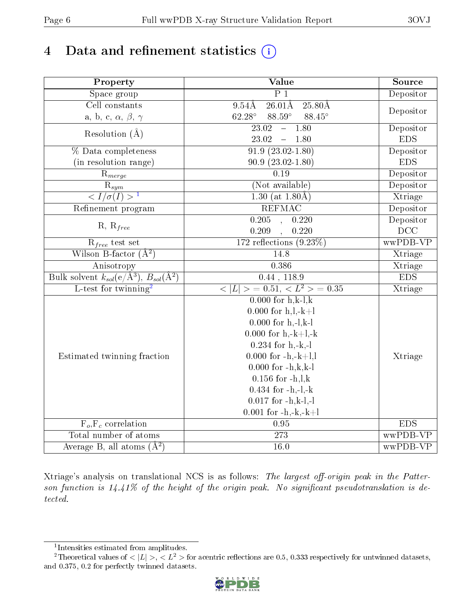# 4 Data and refinement statistics  $(i)$

| Property                                                             | Value                                                      | Source     |
|----------------------------------------------------------------------|------------------------------------------------------------|------------|
| Space group                                                          | $\overline{P1}$                                            | Depositor  |
| Cell constants                                                       | $26.01\text{\AA}$<br>$9.54\text{\AA}$<br>$25.80\text{\AA}$ |            |
| a, b, c, $\alpha$ , $\beta$ , $\gamma$                               | $62.28^\circ$<br>$88.59^\circ$<br>88.45°                   | Depositor  |
| Resolution $(A)$                                                     | 1.80<br>23.02<br>$\frac{1}{2}$                             | Depositor  |
|                                                                      | $23.02 - 1.80$                                             | <b>EDS</b> |
| % Data completeness                                                  | $91.\overline{9}$ $(23.02-1.80)$                           | Depositor  |
| (in resolution range)                                                | $90.9(23.02 - 1.80)$                                       | <b>EDS</b> |
| $R_{merge}$                                                          | $\overline{0.19}$                                          | Depositor  |
| $\overline{\mathrm{R}}_{sym}$                                        | (Not available)                                            | Depositor  |
| $\langle I/\sigma(I)\rangle$                                         | 1.30 (at $1.80\text{\AA}$ )                                | Xtriage    |
| Refinement program                                                   | <b>REFMAC</b>                                              | Depositor  |
|                                                                      | 0.205<br>0.220<br>$\ddot{\phantom{a}}$                     | Depositor  |
| $R, R_{free}$                                                        | 0.209<br>0.220                                             | DCC        |
| $R_{free}$ test set                                                  | $172$ reflections $(9.23\%)$                               | wwPDB-VP   |
| Wilson B-factor $(\AA^2)$                                            | 14.8                                                       | Xtriage    |
| Anisotropy                                                           | 0.386                                                      | Xtriage    |
| Bulk solvent $k_{sol}(e/\mathring{A}^3)$ , $B_{sol}(\mathring{A}^2)$ | $0.44$ , 118.9                                             | <b>EDS</b> |
| L-test for twinning <sup>2</sup>                                     | $< L >$ = 0.51, $< L^2 >$ = 0.35                           | Xtriage    |
|                                                                      | $\overline{0.000 \text{ for h,k-l,k}}$                     |            |
|                                                                      | $0.000$ for h,l,-k+l                                       |            |
|                                                                      | $0.000$ for h,-l,k-l                                       |            |
|                                                                      | $0.000$ for h,-k+l,-k                                      |            |
|                                                                      | $0.234$ for h,-k,-l                                        |            |
| Estimated twinning fraction                                          | $0.000$ for $-h,-k+l, l$                                   | Xtriage    |
|                                                                      | $0.000$ for $-h, k, k-1$                                   |            |
|                                                                      | $0.156$ for $-h, l, k$                                     |            |
|                                                                      | $0.434$ for $-h,-l,-k$                                     |            |
|                                                                      | $0.017$ for $-h,k-l,-l$                                    |            |
|                                                                      | $0.001$ for $-h,-k,-k+l$                                   |            |
| $F_o, F_c$ correlation                                               | 0.95                                                       | EDS        |
| Total number of atoms                                                | 273                                                        | wwPDB-VP   |
| Average $B$ , all atoms $(A2)$                                       | $\overline{16.0}$                                          | wwPDB-VP   |

Xtriage's analysis on translational NCS is as follows: The largest off-origin peak in the Patterson function is  $14.41\%$  of the height of the origin peak. No significant pseudotranslation is detected.

<sup>&</sup>lt;sup>2</sup>Theoretical values of  $\langle |L| \rangle$ ,  $\langle L^2 \rangle$  for acentric reflections are 0.5, 0.333 respectively for untwinned datasets, and 0.375, 0.2 for perfectly twinned datasets.



<span id="page-5-1"></span><span id="page-5-0"></span><sup>1</sup> Intensities estimated from amplitudes.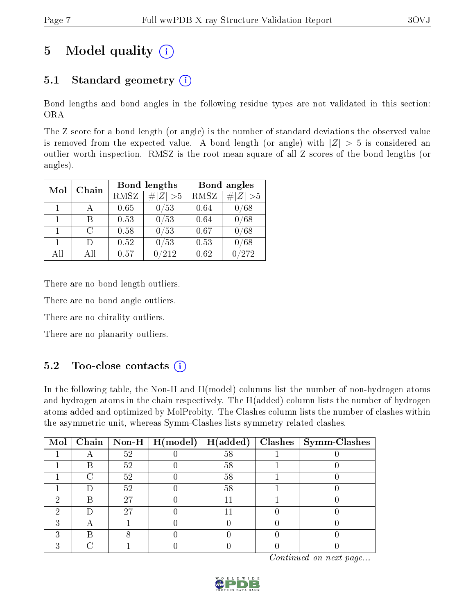# 5 Model quality  $(i)$

### 5.1 Standard geometry  $(i)$

Bond lengths and bond angles in the following residue types are not validated in this section: ORA

The Z score for a bond length (or angle) is the number of standard deviations the observed value is removed from the expected value. A bond length (or angle) with  $|Z| > 5$  is considered an outlier worth inspection. RMSZ is the root-mean-square of all Z scores of the bond lengths (or angles).

| Mol          | Chain  |      | <b>Bond lengths</b> | Bond angles |             |  |
|--------------|--------|------|---------------------|-------------|-------------|--|
|              |        | RMSZ | $\# Z  > 5$         | <b>RMSZ</b> | $\# Z  > 5$ |  |
| 1            |        | 0.65 | 0/53                | 0.64        | 0/68        |  |
| $\mathbf{1}$ | R      | 0.53 | 0/53                | 0.64        | /68         |  |
| $\mathbf{1}$ | C      | 0.58 | 0/53                | 0.67        | 0/68        |  |
| $\mathbf{1}$ | $\Box$ | 0.52 | $^{\prime}53$       | 0.53        | /68         |  |
| All          | Αll    | 0.57 | /212                | 0.62        | $/272\,$    |  |

There are no bond length outliers.

There are no bond angle outliers.

There are no chirality outliers.

There are no planarity outliers.

### $5.2$  Too-close contacts  $\overline{1}$

In the following table, the Non-H and H(model) columns list the number of non-hydrogen atoms and hydrogen atoms in the chain respectively. The H(added) column lists the number of hydrogen atoms added and optimized by MolProbity. The Clashes column lists the number of clashes within the asymmetric unit, whereas Symm-Clashes lists symmetry related clashes.

| Mol |    | $\boxed{\text{Chain} \mid \text{Non-H} \mid \text{H}(\text{model}) \mid \text{H}(\text{added})}$ |    | $\textbf{Class} \mid \textbf{Symm-Class}$ |
|-----|----|--------------------------------------------------------------------------------------------------|----|-------------------------------------------|
|     | 52 |                                                                                                  | 58 |                                           |
|     | 52 |                                                                                                  | 58 |                                           |
|     | 52 |                                                                                                  | 58 |                                           |
|     | 52 |                                                                                                  | 58 |                                           |
|     | 27 |                                                                                                  |    |                                           |
|     | 27 |                                                                                                  |    |                                           |
|     |    |                                                                                                  |    |                                           |
|     |    |                                                                                                  |    |                                           |
|     |    |                                                                                                  |    |                                           |

Continued on next page...

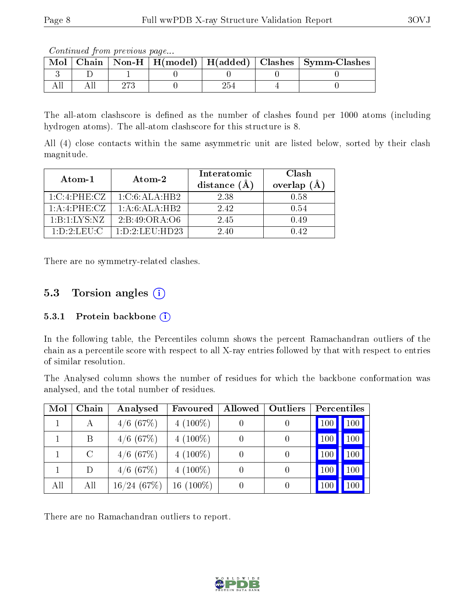Continued from previous page...

| Chain |  |  | Non-H   H(model)   H(added)   Clashes   Symm-Clashes |
|-------|--|--|------------------------------------------------------|
|       |  |  |                                                      |
|       |  |  |                                                      |

The all-atom clashscore is defined as the number of clashes found per 1000 atoms (including hydrogen atoms). The all-atom clashscore for this structure is 8.

All (4) close contacts within the same asymmetric unit are listed below, sorted by their clash magnitude.

| Atom-1                  | Atom-2              | Interatomic<br>distance | Clash<br>overlap<br>(A |  |
|-------------------------|---------------------|-------------------------|------------------------|--|
| 1:C:4:PHE:CZ            | 1: C: 6: ALA: HB2   | 2.38                    | 0.58                   |  |
| 1:A:4:PHE:CZ            | 1: A:6:ALA:HB2      | 2.42                    | 0.54                   |  |
| 1:B:1:LYS:NZ            | 2: B: 49: ORA: O6   | 2.45                    | 0.49                   |  |
| $1: D: 2: \text{LEU:C}$ | 1: D: 2: LEU: HD 23 | 2.40                    | $9.42 -$               |  |

There are no symmetry-related clashes.

### 5.3 Torsion angles (i)

#### 5.3.1 Protein backbone (i)

In the following table, the Percentiles column shows the percent Ramachandran outliers of the chain as a percentile score with respect to all X-ray entries followed by that with respect to entries of similar resolution.

The Analysed column shows the number of residues for which the backbone conformation was analysed, and the total number of residues.

| Mol | Chain   | Analysed       | Favoured    | Allowed | Outliers         | Percentiles            |
|-----|---------|----------------|-------------|---------|------------------|------------------------|
|     | А       | $4/6$ (67%)    | $4(100\%)$  |         | 0                | 100<br>100             |
|     | Β       | $4/6$ (67\%)   | $4(100\%)$  |         | $\theta$         | 100<br>100             |
|     | $\rm C$ | $4/6$ (67\%)   | $4(100\%)$  |         | $\left( \right)$ | 100<br>100             |
|     | D       | $4/6$ (67\%)   | $4(100\%)$  |         | 0                | 100<br>10 <sub>0</sub> |
| All | All     | $16/24$ (67\%) | $16(100\%)$ |         | 0                | $100\,$<br>100         |

There are no Ramachandran outliers to report.

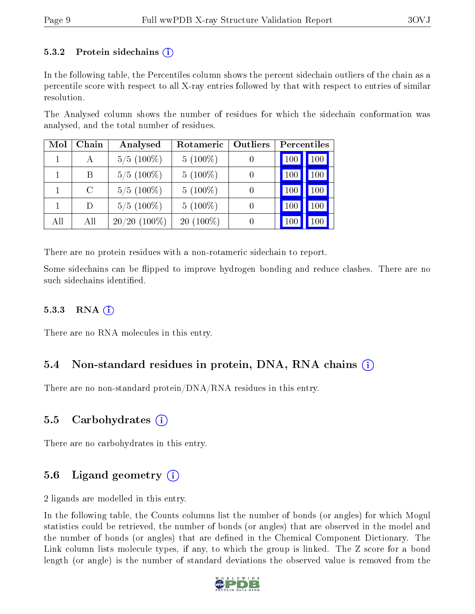#### 5.3.2 Protein sidechains  $\hat{I}$

In the following table, the Percentiles column shows the percent sidechain outliers of the chain as a percentile score with respect to all X-ray entries followed by that with respect to entries of similar resolution.

The Analysed column shows the number of residues for which the sidechain conformation was analysed, and the total number of residues.

| Mol | Chain | Analysed       | Rotameric   | Outliers | Percentiles |            |  |
|-----|-------|----------------|-------------|----------|-------------|------------|--|
|     | А     | $5/5(100\%)$   | $5(100\%)$  |          | 100         | 100        |  |
|     | В     | $5/5(100\%)$   | $5(100\%)$  |          | 100         | 100        |  |
|     | C     | $5/5(100\%)$   | $5(100\%)$  |          | 100         | $100 \mid$ |  |
|     | D)    | $5/5(100\%)$   | $5(100\%)$  |          | 100         | $100\,$    |  |
| All | All   | $20/20$ (100%) | $20(100\%)$ |          | 100         |            |  |

There are no protein residues with a non-rotameric sidechain to report.

Some sidechains can be flipped to improve hydrogen bonding and reduce clashes. There are no such sidechains identified.

#### 5.3.3 RNA  $(i)$

There are no RNA molecules in this entry.

### 5.4 Non-standard residues in protein, DNA, RNA chains (i)

There are no non-standard protein/DNA/RNA residues in this entry.

#### 5.5 Carbohydrates (i)

There are no carbohydrates in this entry.

### 5.6 Ligand geometry (i)

2 ligands are modelled in this entry.

In the following table, the Counts columns list the number of bonds (or angles) for which Mogul statistics could be retrieved, the number of bonds (or angles) that are observed in the model and the number of bonds (or angles) that are defined in the Chemical Component Dictionary. The Link column lists molecule types, if any, to which the group is linked. The Z score for a bond length (or angle) is the number of standard deviations the observed value is removed from the

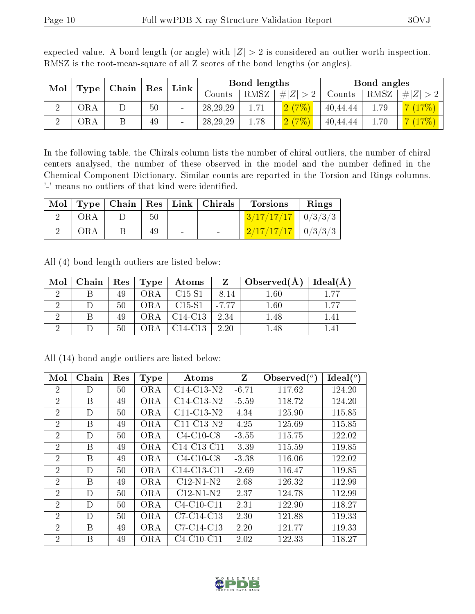| Mol | $ $ Chain $ $<br>Type<br>${\mathop{\mathrm{Res}}\nolimits}$ | Link |    | Bond lengths |            | Bond angles |             |             |        |         |       |
|-----|-------------------------------------------------------------|------|----|--------------|------------|-------------|-------------|-------------|--------|---------|-------|
|     |                                                             |      |    |              |            | Counts      | <b>RMSZ</b> | # $ Z  > 2$ | Counts | RMSZ    | $#^+$ |
| ച   | ЭRА                                                         |      | 50 |              | 28, 29, 29 | 1.71        | 2(7%        | 40,44,44    | 1.79   |         |       |
| ച   | ORA                                                         |      | 49 |              | 28, 29, 29 | 1.78        | 2(7%        | 40,44,44    | 1.70   | $17\%)$ |       |

expected value. A bond length (or angle) with  $|Z| > 2$  is considered an outlier worth inspection. RMSZ is the root-mean-square of all Z scores of the bond lengths (or angles).

In the following table, the Chirals column lists the number of chiral outliers, the number of chiral centers analysed, the number of these observed in the model and the number defined in the Chemical Component Dictionary. Similar counts are reported in the Torsion and Rings columns. '-' means no outliers of that kind were identified.

|            |     |                          | Mol   Type   Chain   Res   Link   Chirals | <b>Torsions</b>                         | Rings |
|------------|-----|--------------------------|-------------------------------------------|-----------------------------------------|-------|
| <b>ORA</b> | -50 | <b>Contract Contract</b> |                                           | $3/17/17/17$   0/3/3/3                  |       |
| ORA        | 49  | $\sim$                   |                                           | $\frac{2}{17}{\frac{17}{17}}$   0/3/3/3 |       |

All (4) bond length outliers are listed below:

| Mol | Chain | $_{\rm \parallel}$ $\rm Res$ | Type | Atoms                            | Z       | Observed $(A^{\dagger})$ | Ideal(A) |
|-----|-------|------------------------------|------|----------------------------------|---------|--------------------------|----------|
|     |       | 49                           | ORA  | $C15-S1$                         | $-8.14$ | $1.60\,$                 | . 77     |
|     |       | 50                           | ORA  | $C15-S1$                         | $-7.77$ | 1.60                     | 1.77     |
|     |       | 49                           |      | C <sub>14</sub> -C <sub>13</sub> | 2.34    | l.48                     | .41      |
|     |       | $50\,$                       |      | C <sub>14</sub> -C <sub>13</sub> | 2.20    |                          |          |

All (14) bond angle outliers are listed below:

| Mol            | Chain | Res | <b>Type</b> | Atoms                                             | Z       | Observed $(°)$ | $\text{Ideal}({}^o)$ |
|----------------|-------|-----|-------------|---------------------------------------------------|---------|----------------|----------------------|
| $\overline{2}$ | D     | 50  | <b>ORA</b>  | $C14-C13-N2$                                      | $-6.71$ | 117.62         | 124.20               |
| $\overline{2}$ | B     | 49  | ORA         | $C14-C13-N2$                                      | $-5.59$ | 118.72         | 124.20               |
| $\overline{2}$ | D     | 50  | <b>ORA</b>  | $C11-C13-N2$                                      | 4.34    | 125.90         | 115.85               |
| $\overline{2}$ | B     | 49  | ORA         | $C11-C13-N2$                                      | 4.25    | 125.69         | 115.85               |
| $\overline{2}$ | D     | 50  | <b>ORA</b>  | $C4-C10-C8$                                       | $-3.55$ | 115.75         | 122.02               |
| $\overline{2}$ | B     | 49  | <b>ORA</b>  | C <sub>14</sub> -C <sub>13</sub> -C <sub>11</sub> | $-3.39$ | 115.59         | 119.85               |
| $\overline{2}$ | B     | 49  | <b>ORA</b>  | $C4-C10-C8$                                       | $-3.38$ | 116.06         | 122.02               |
| $\overline{2}$ | D     | 50  | <b>ORA</b>  | C <sub>14</sub> -C <sub>13</sub> -C <sub>11</sub> | $-2.69$ | 116.47         | 119.85               |
| $\overline{2}$ | B     | 49  | <b>ORA</b>  | $C12-N1-N2$                                       | 2.68    | 126.32         | 112.99               |
| $\overline{2}$ | D     | 50  | <b>ORA</b>  | $C12-N1-N2$                                       | 2.37    | 124.78         | 112.99               |
| $\overline{2}$ | D     | 50  | <b>ORA</b>  | $C4-C10-C11$                                      | 2.31    | 122.90         | 118.27               |
| $\overline{2}$ | D     | 50  | <b>ORA</b>  | C7-C14-C13                                        | 2.30    | 121.88         | 119.33               |
| $\overline{2}$ | B     | 49  | <b>ORA</b>  | C7-C14-C13                                        | 2.20    | 121.77         | 119.33               |
| $\overline{2}$ | B     | 49  | <b>ORA</b>  | $C4-C10-C11$                                      | 2.02    | 122.33         | 118.27               |

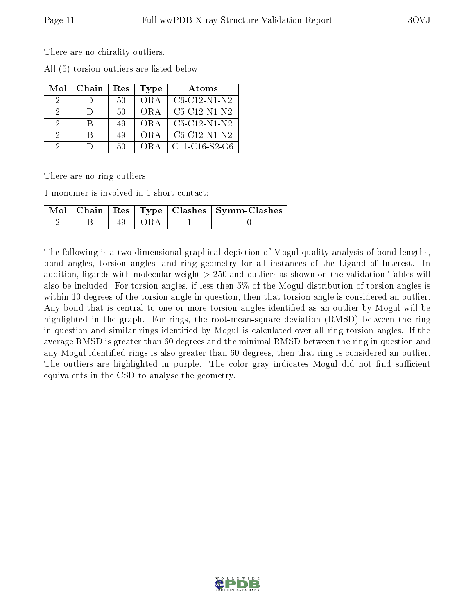There are no chirality outliers.

|  | All (5) torsion outliers are listed below: |  |  |  |  |  |
|--|--------------------------------------------|--|--|--|--|--|
|--|--------------------------------------------|--|--|--|--|--|

| Mol           | Chain  | $\operatorname{Res}% \left( \mathcal{N}\right) \equiv\operatorname{Res}(\mathcal{N}_{0})\left( \mathcal{N}_{0}\right) ^{2}$ | Type | Atoms           |
|---------------|--------|-----------------------------------------------------------------------------------------------------------------------------|------|-----------------|
| $\Omega$      |        | $50 -$                                                                                                                      | OR A | $C6-C12-N1-N2$  |
| 2             | $\Box$ | 50                                                                                                                          | OR A | C5-C12-N1-N2    |
| 2             | R      | 49                                                                                                                          | OR A | $C5-C12-N1-N2$  |
| $\mathcal{D}$ | R      | 49                                                                                                                          | OR A | $C6-C12-N1-N2$  |
| $\Omega$      | $\Box$ | 50                                                                                                                          | ORA  | $C11-C16-S2-C6$ |

There are no ring outliers.

1 monomer is involved in 1 short contact:

|  |    |         | Mol   Chain   Res   Type   Clashes   Symm-Clashes |
|--|----|---------|---------------------------------------------------|
|  | 49 | - I ORA |                                                   |

The following is a two-dimensional graphical depiction of Mogul quality analysis of bond lengths, bond angles, torsion angles, and ring geometry for all instances of the Ligand of Interest. In addition, ligands with molecular weight > 250 and outliers as shown on the validation Tables will also be included. For torsion angles, if less then 5% of the Mogul distribution of torsion angles is within 10 degrees of the torsion angle in question, then that torsion angle is considered an outlier. Any bond that is central to one or more torsion angles identified as an outlier by Mogul will be highlighted in the graph. For rings, the root-mean-square deviation (RMSD) between the ring in question and similar rings identified by Mogul is calculated over all ring torsion angles. If the average RMSD is greater than 60 degrees and the minimal RMSD between the ring in question and any Mogul-identified rings is also greater than 60 degrees, then that ring is considered an outlier. The outliers are highlighted in purple. The color gray indicates Mogul did not find sufficient equivalents in the CSD to analyse the geometry.

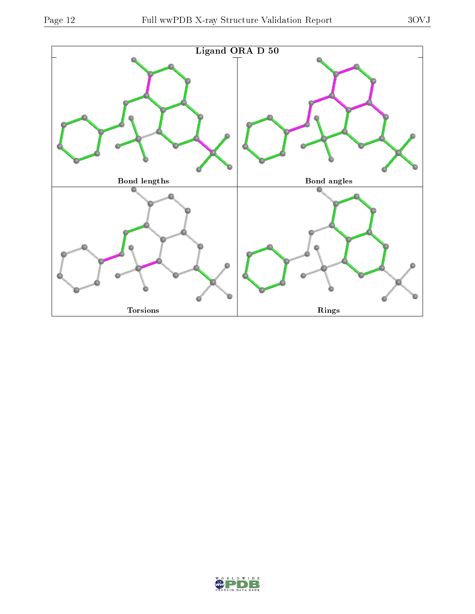

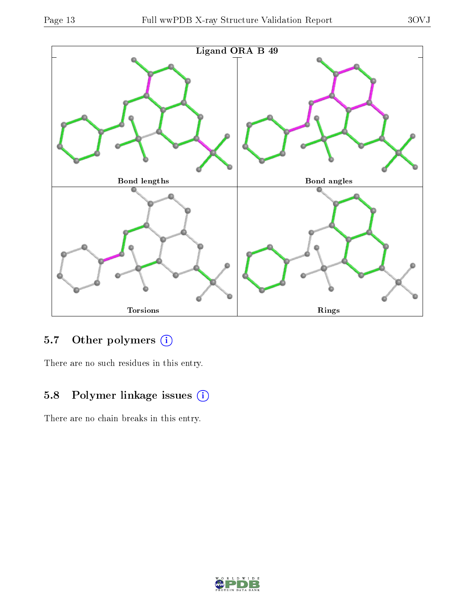

## 5.7 [O](https://www.wwpdb.org/validation/2017/XrayValidationReportHelp#nonstandard_residues_and_ligands)ther polymers (i)

There are no such residues in this entry.

## 5.8 Polymer linkage issues (i)

There are no chain breaks in this entry.

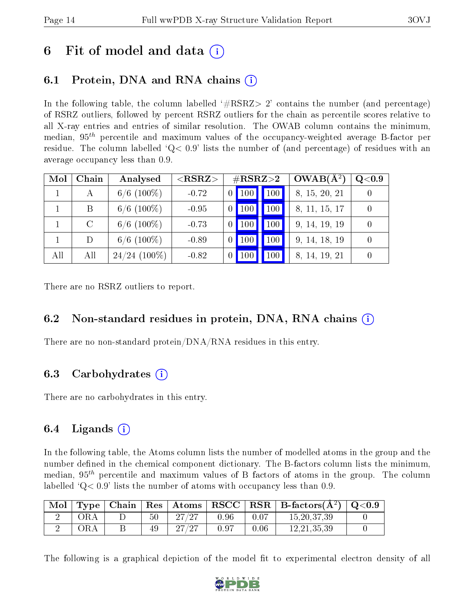## 6 Fit of model and data  $\left( \cdot \right)$

## 6.1 Protein, DNA and RNA chains (i)

In the following table, the column labelled  $#RSRZ>2'$  contains the number (and percentage) of RSRZ outliers, followed by percent RSRZ outliers for the chain as percentile scores relative to all X-ray entries and entries of similar resolution. The OWAB column contains the minimum, median,  $95<sup>th</sup>$  percentile and maximum values of the occupancy-weighted average B-factor per residue. The column labelled  $Q < 0.9$  lists the number of (and percentage) of residues with an average occupancy less than 0.9.

| Mol | Chain   | Analysed        | $<$ RSRZ $>$ |                 |             | $\#\text{RSRZ}{>}2$ | $OWAB(A^2)$   | Q <sub>0.9</sub> |
|-----|---------|-----------------|--------------|-----------------|-------------|---------------------|---------------|------------------|
|     | А       | $6/6$ (100\%)   | $-0.72$      | $\vert 0 \vert$ | $\vert$ 100 | 100                 | 8, 15, 20, 21 |                  |
|     | B       | $6/6$ (100\%)   | $-0.95$      | $\theta$        | <b>100</b>  | 100                 | 8, 11, 15, 17 |                  |
|     | $\rm C$ | $6/6$ (100\%)   | $-0.73$      | $\overline{0}$  | <b>100</b>  | 100                 | 9, 14, 19, 19 |                  |
|     | D       | $6/6$ (100\%)   | $-0.89$      | $\theta$        | 100         | 100                 | 9, 14, 18, 19 |                  |
| All | All     | $24/24$ (100\%) | $-0.82$      |                 | $100\,$     | $100\,$             | 8, 14, 19, 21 |                  |

There are no RSRZ outliers to report.

### 6.2 Non-standard residues in protein, DNA, RNA chains (i)

There are no non-standard protein/DNA/RNA residues in this entry.

### 6.3 Carbohydrates (i)

There are no carbohydrates in this entry.

### 6.4 Ligands  $(i)$

In the following table, the Atoms column lists the number of modelled atoms in the group and the number defined in the chemical component dictionary. The B-factors column lists the minimum, median,  $95<sup>th</sup>$  percentile and maximum values of B factors of atoms in the group. The column labelled  $Q< 0.9$ ' lists the number of atoms with occupancy less than 0.9.

| Mol | Type | Chain |        | $\mid$ Res $\mid$ Atoms |      |      | $\mid$ RSCC $\mid$ RSR $\mid$ B-factors( $A^2$ ) | $\,$ Q $<$ 0.9 $\,$ |
|-----|------|-------|--------|-------------------------|------|------|--------------------------------------------------|---------------------|
|     | )K A |       | $50\,$ | 27/27                   | 0.96 | 0.07 | 15, 20, 37, 39                                   |                     |
|     | ЖA   |       | 49     | 97.                     | 0.97 | 0.06 | 12.21.35.39                                      |                     |

The following is a graphical depiction of the model fit to experimental electron density of all

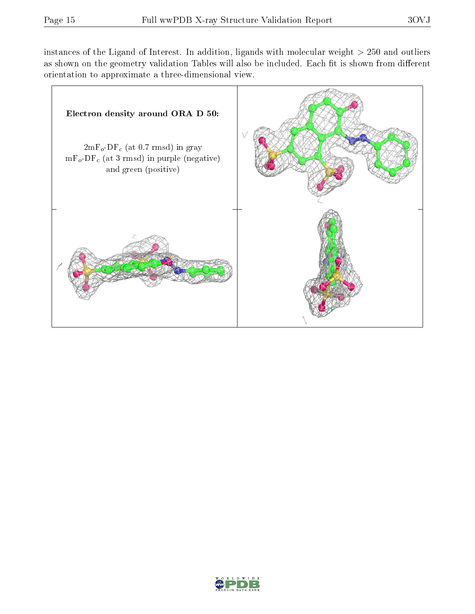instances of the Ligand of Interest. In addition, ligands with molecular weight  $> 250$  and outliers as shown on the geometry validation Tables will also be included. Each fit is shown from different orientation to approximate a three-dimensional view.